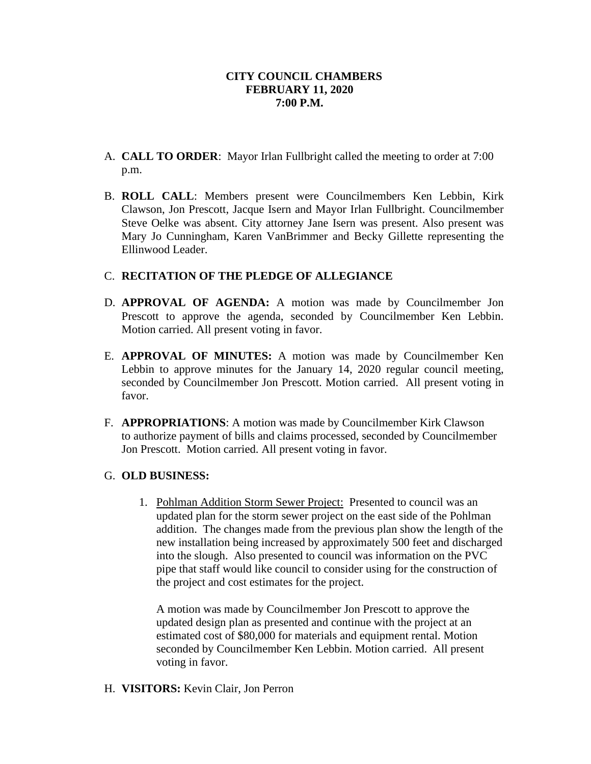## **CITY COUNCIL CHAMBERS FEBRUARY 11, 2020 7:00 P.M.**

- A. **CALL TO ORDER**: Mayor Irlan Fullbright called the meeting to order at 7:00 p.m.
- B. **ROLL CALL**: Members present were Councilmembers Ken Lebbin, Kirk Clawson, Jon Prescott, Jacque Isern and Mayor Irlan Fullbright. Councilmember Steve Oelke was absent. City attorney Jane Isern was present. Also present was Mary Jo Cunningham, Karen VanBrimmer and Becky Gillette representing the Ellinwood Leader.

## C. **RECITATION OF THE PLEDGE OF ALLEGIANCE**

- D. **APPROVAL OF AGENDA:** A motion was made by Councilmember Jon Prescott to approve the agenda, seconded by Councilmember Ken Lebbin. Motion carried. All present voting in favor.
- E. **APPROVAL OF MINUTES:** A motion was made by Councilmember Ken Lebbin to approve minutes for the January 14, 2020 regular council meeting, seconded by Councilmember Jon Prescott. Motion carried. All present voting in favor.
- F. **APPROPRIATIONS**: A motion was made by Councilmember Kirk Clawson to authorize payment of bills and claims processed, seconded by Councilmember Jon Prescott. Motion carried. All present voting in favor.

# G. **OLD BUSINESS:**

1. Pohlman Addition Storm Sewer Project: Presented to council was an updated plan for the storm sewer project on the east side of the Pohlman addition. The changes made from the previous plan show the length of the new installation being increased by approximately 500 feet and discharged into the slough. Also presented to council was information on the PVC pipe that staff would like council to consider using for the construction of the project and cost estimates for the project.

A motion was made by Councilmember Jon Prescott to approve the updated design plan as presented and continue with the project at an estimated cost of \$80,000 for materials and equipment rental. Motion seconded by Councilmember Ken Lebbin. Motion carried. All present voting in favor.

#### H. **VISITORS:** Kevin Clair, Jon Perron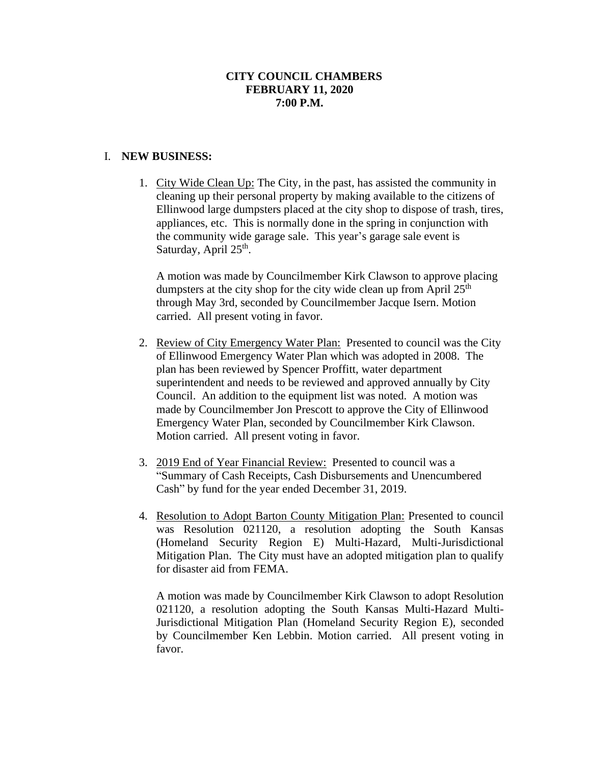## **CITY COUNCIL CHAMBERS FEBRUARY 11, 2020 7:00 P.M.**

## I. **NEW BUSINESS:**

1. City Wide Clean Up: The City, in the past, has assisted the community in cleaning up their personal property by making available to the citizens of Ellinwood large dumpsters placed at the city shop to dispose of trash, tires, appliances, etc. This is normally done in the spring in conjunction with the community wide garage sale. This year's garage sale event is Saturday, April 25<sup>th</sup>.

A motion was made by Councilmember Kirk Clawson to approve placing dumpsters at the city shop for the city wide clean up from April  $25<sup>th</sup>$ through May 3rd, seconded by Councilmember Jacque Isern. Motion carried. All present voting in favor.

- 2. Review of City Emergency Water Plan: Presented to council was the City of Ellinwood Emergency Water Plan which was adopted in 2008. The plan has been reviewed by Spencer Proffitt, water department superintendent and needs to be reviewed and approved annually by City Council. An addition to the equipment list was noted. A motion was made by Councilmember Jon Prescott to approve the City of Ellinwood Emergency Water Plan, seconded by Councilmember Kirk Clawson. Motion carried. All present voting in favor.
- 3. 2019 End of Year Financial Review: Presented to council was a "Summary of Cash Receipts, Cash Disbursements and Unencumbered Cash" by fund for the year ended December 31, 2019.
- 4. Resolution to Adopt Barton County Mitigation Plan: Presented to council was Resolution 021120, a resolution adopting the South Kansas (Homeland Security Region E) Multi-Hazard, Multi-Jurisdictional Mitigation Plan. The City must have an adopted mitigation plan to qualify for disaster aid from FEMA.

A motion was made by Councilmember Kirk Clawson to adopt Resolution 021120, a resolution adopting the South Kansas Multi-Hazard Multi-Jurisdictional Mitigation Plan (Homeland Security Region E), seconded by Councilmember Ken Lebbin. Motion carried. All present voting in favor.